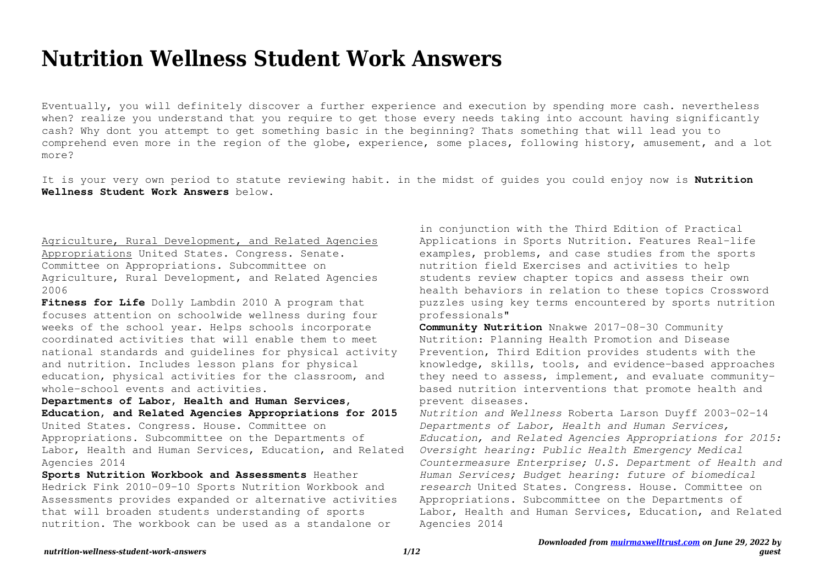## **Nutrition Wellness Student Work Answers**

Eventually, you will definitely discover a further experience and execution by spending more cash. nevertheless when? realize you understand that you require to get those every needs taking into account having significantly cash? Why dont you attempt to get something basic in the beginning? Thats something that will lead you to comprehend even more in the region of the globe, experience, some places, following history, amusement, and a lot more?

It is your very own period to statute reviewing habit. in the midst of guides you could enjoy now is **Nutrition Wellness Student Work Answers** below.

Agriculture, Rural Development, and Related Agencies Appropriations United States. Congress. Senate. Committee on Appropriations. Subcommittee on Agriculture, Rural Development, and Related Agencies 2006

**Fitness for Life** Dolly Lambdin 2010 A program that focuses attention on schoolwide wellness during four weeks of the school year. Helps schools incorporate coordinated activities that will enable them to meet national standards and guidelines for physical activity and nutrition. Includes lesson plans for physical education, physical activities for the classroom, and whole-school events and activities.

**Departments of Labor, Health and Human Services, Education, and Related Agencies Appropriations for 2015** United States. Congress. House. Committee on Appropriations. Subcommittee on the Departments of Labor, Health and Human Services, Education, and Related Agencies 2014

**Sports Nutrition Workbook and Assessments** Heather Hedrick Fink 2010-09-10 Sports Nutrition Workbook and Assessments provides expanded or alternative activities that will broaden students understanding of sports nutrition. The workbook can be used as a standalone or

in conjunction with the Third Edition of Practical Applications in Sports Nutrition. Features Real-life examples, problems, and case studies from the sports nutrition field Exercises and activities to help students review chapter topics and assess their own health behaviors in relation to these topics Crossword puzzles using key terms encountered by sports nutrition professionals"

**Community Nutrition** Nnakwe 2017-08-30 Community Nutrition: Planning Health Promotion and Disease Prevention, Third Edition provides students with the knowledge, skills, tools, and evidence-based approaches they need to assess, implement, and evaluate communitybased nutrition interventions that promote health and prevent diseases.

*Nutrition and Wellness* Roberta Larson Duyff 2003-02-14 *Departments of Labor, Health and Human Services, Education, and Related Agencies Appropriations for 2015: Oversight hearing: Public Health Emergency Medical Countermeasure Enterprise; U.S. Department of Health and Human Services; Budget hearing: future of biomedical research* United States. Congress. House. Committee on Appropriations. Subcommittee on the Departments of Labor, Health and Human Services, Education, and Related Agencies 2014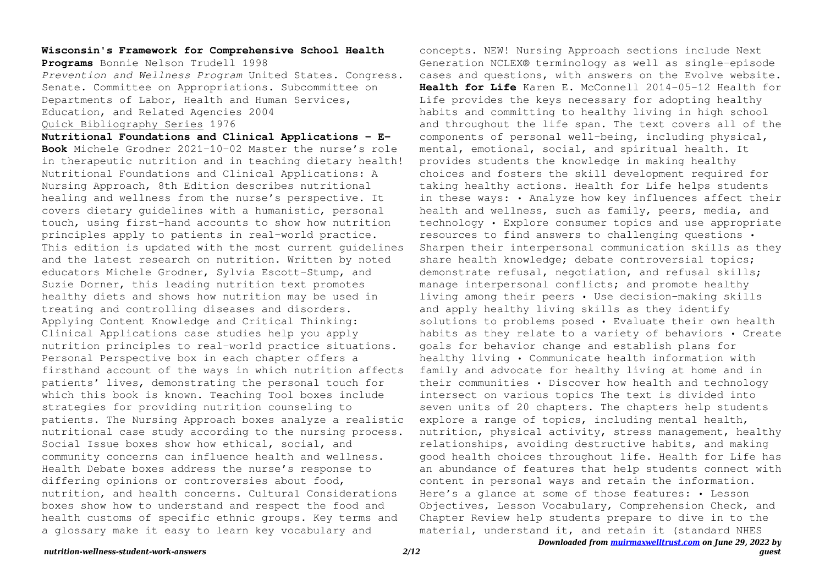## **Wisconsin's Framework for Comprehensive School Health**

**Programs** Bonnie Nelson Trudell 1998

*Prevention and Wellness Program* United States. Congress. Senate. Committee on Appropriations. Subcommittee on Departments of Labor, Health and Human Services, Education, and Related Agencies 2004 Quick Bibliography Series 1976

**Nutritional Foundations and Clinical Applications - E-Book** Michele Grodner 2021-10-02 Master the nurse's role in therapeutic nutrition and in teaching dietary health! Nutritional Foundations and Clinical Applications: A Nursing Approach, 8th Edition describes nutritional healing and wellness from the nurse's perspective. It covers dietary guidelines with a humanistic, personal touch, using first-hand accounts to show how nutrition principles apply to patients in real-world practice. This edition is updated with the most current guidelines and the latest research on nutrition. Written by noted educators Michele Grodner, Sylvia Escott-Stump, and Suzie Dorner, this leading nutrition text promotes healthy diets and shows how nutrition may be used in treating and controlling diseases and disorders. Applying Content Knowledge and Critical Thinking: Clinical Applications case studies help you apply nutrition principles to real-world practice situations. Personal Perspective box in each chapter offers a firsthand account of the ways in which nutrition affects patients' lives, demonstrating the personal touch for which this book is known. Teaching Tool boxes include strategies for providing nutrition counseling to patients. The Nursing Approach boxes analyze a realistic nutritional case study according to the nursing process. Social Issue boxes show how ethical, social, and community concerns can influence health and wellness. Health Debate boxes address the nurse's response to differing opinions or controversies about food, nutrition, and health concerns. Cultural Considerations boxes show how to understand and respect the food and health customs of specific ethnic groups. Key terms and a glossary make it easy to learn key vocabulary and

concepts. NEW! Nursing Approach sections include Next Generation NCLEX® terminology as well as single-episode cases and questions, with answers on the Evolve website. **Health for Life** Karen E. McConnell 2014-05-12 Health for Life provides the keys necessary for adopting healthy habits and committing to healthy living in high school and throughout the life span. The text covers all of the components of personal well-being, including physical, mental, emotional, social, and spiritual health. It provides students the knowledge in making healthy choices and fosters the skill development required for taking healthy actions. Health for Life helps students in these ways: • Analyze how key influences affect their health and wellness, such as family, peers, media, and technology • Explore consumer topics and use appropriate resources to find answers to challenging questions • Sharpen their interpersonal communication skills as they share health knowledge; debate controversial topics; demonstrate refusal, negotiation, and refusal skills; manage interpersonal conflicts; and promote healthy living among their peers • Use decision-making skills and apply healthy living skills as they identify solutions to problems posed • Evaluate their own health habits as they relate to a variety of behaviors • Create goals for behavior change and establish plans for healthy living • Communicate health information with family and advocate for healthy living at home and in their communities • Discover how health and technology intersect on various topics The text is divided into seven units of 20 chapters. The chapters help students explore a range of topics, including mental health, nutrition, physical activity, stress management, healthy relationships, avoiding destructive habits, and making good health choices throughout life. Health for Life has an abundance of features that help students connect with content in personal ways and retain the information. Here's a glance at some of those features: • Lesson Objectives, Lesson Vocabulary, Comprehension Check, and Chapter Review help students prepare to dive in to the material, understand it, and retain it (standard NHES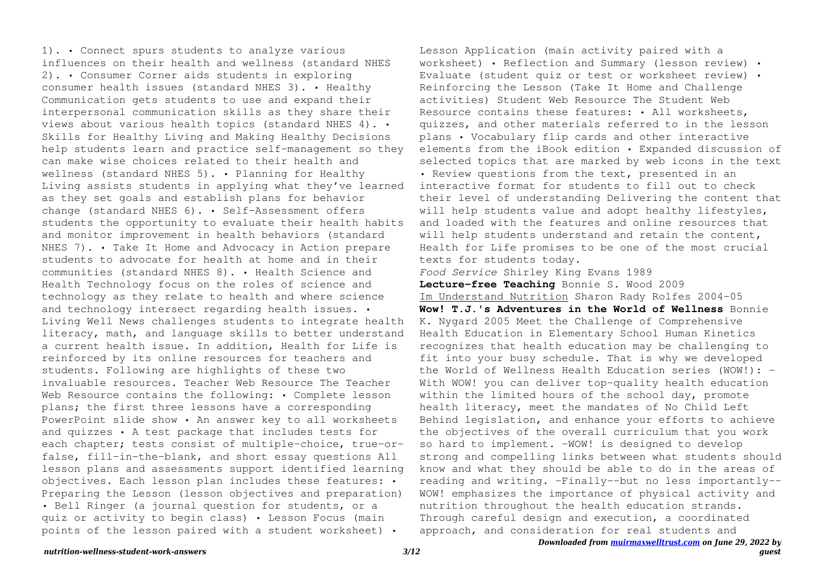1). • Connect spurs students to analyze various influences on their health and wellness (standard NHES 2). • Consumer Corner aids students in exploring consumer health issues (standard NHES 3). • Healthy Communication gets students to use and expand their interpersonal communication skills as they share their views about various health topics (standard NHES 4). • Skills for Healthy Living and Making Healthy Decisions help students learn and practice self-management so they can make wise choices related to their health and wellness (standard NHES 5). • Planning for Healthy Living assists students in applying what they've learned as they set goals and establish plans for behavior change (standard NHES 6). • Self-Assessment offers students the opportunity to evaluate their health habits and monitor improvement in health behaviors (standard NHES 7). • Take It Home and Advocacy in Action prepare students to advocate for health at home and in their communities (standard NHES 8). • Health Science and Health Technology focus on the roles of science and technology as they relate to health and where science and technology intersect regarding health issues. • Living Well News challenges students to integrate health literacy, math, and language skills to better understand a current health issue. In addition, Health for Life is reinforced by its online resources for teachers and students. Following are highlights of these two invaluable resources. Teacher Web Resource The Teacher Web Resource contains the following: • Complete lesson plans; the first three lessons have a corresponding PowerPoint slide show • An answer key to all worksheets and quizzes • A test package that includes tests for each chapter; tests consist of multiple-choice, true-orfalse, fill-in-the-blank, and short essay questions All lesson plans and assessments support identified learning objectives. Each lesson plan includes these features: • Preparing the Lesson (lesson objectives and preparation) • Bell Ringer (a journal question for students, or a quiz or activity to begin class) • Lesson Focus (main points of the lesson paired with a student worksheet) •

Lesson Application (main activity paired with a worksheet) • Reflection and Summary (lesson review) • Evaluate (student quiz or test or worksheet review) • Reinforcing the Lesson (Take It Home and Challenge activities) Student Web Resource The Student Web Resource contains these features: • All worksheets, quizzes, and other materials referred to in the lesson plans • Vocabulary flip cards and other interactive elements from the iBook edition • Expanded discussion of selected topics that are marked by web icons in the text • Review questions from the text, presented in an interactive format for students to fill out to check their level of understanding Delivering the content that will help students value and adopt healthy lifestyles, and loaded with the features and online resources that will help students understand and retain the content, Health for Life promises to be one of the most crucial texts for students today.

*Food Service* Shirley King Evans 1989

*Downloaded from [muirmaxwelltrust.com](https://muirmaxwelltrust.com) on June 29, 2022 by* **Lecture-free Teaching** Bonnie S. Wood 2009 Im Understand Nutrition Sharon Rady Rolfes 2004-05 **Wow! T.J.'s Adventures in the World of Wellness** Bonnie K. Nygard 2005 Meet the Challenge of Comprehensive Health Education in Elementary School Human Kinetics recognizes that health education may be challenging to fit into your busy schedule. That is why we developed the World of Wellness Health Education series (WOW!): - With WOW! you can deliver top-quality health education within the limited hours of the school day, promote health literacy, meet the mandates of No Child Left Behind legislation, and enhance your efforts to achieve the objectives of the overall curriculum that you work so hard to implement. -WOW! is designed to develop strong and compelling links between what students should know and what they should be able to do in the areas of reading and writing. -Finally--but no less importantly-- WOW! emphasizes the importance of physical activity and nutrition throughout the health education strands. Through careful design and execution, a coordinated approach, and consideration for real students and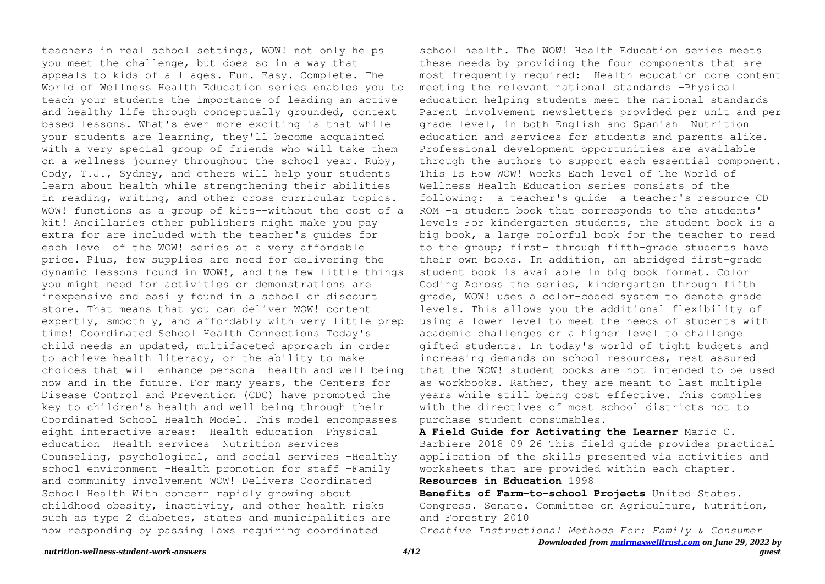teachers in real school settings, WOW! not only helps you meet the challenge, but does so in a way that appeals to kids of all ages. Fun. Easy. Complete. The World of Wellness Health Education series enables you to teach your students the importance of leading an active and healthy life through conceptually grounded, contextbased lessons. What's even more exciting is that while your students are learning, they'll become acquainted with a very special group of friends who will take them on a wellness journey throughout the school year. Ruby, Cody, T.J., Sydney, and others will help your students learn about health while strengthening their abilities in reading, writing, and other cross-curricular topics. WOW! functions as a group of kits--without the cost of a kit! Ancillaries other publishers might make you pay extra for are included with the teacher's guides for each level of the WOW! series at a very affordable price. Plus, few supplies are need for delivering the dynamic lessons found in WOW!, and the few little things you might need for activities or demonstrations are inexpensive and easily found in a school or discount store. That means that you can deliver WOW! content expertly, smoothly, and affordably with very little prep time! Coordinated School Health Connections Today's child needs an updated, multifaceted approach in order to achieve health literacy, or the ability to make choices that will enhance personal health and well-being now and in the future. For many years, the Centers for Disease Control and Prevention (CDC) have promoted the key to children's health and well-being through their Coordinated School Health Model. This model encompasses eight interactive areas: -Health education -Physical education -Health services -Nutrition services - Counseling, psychological, and social services -Healthy school environment -Health promotion for staff -Family and community involvement WOW! Delivers Coordinated School Health With concern rapidly growing about childhood obesity, inactivity, and other health risks such as type 2 diabetes, states and municipalities are now responding by passing laws requiring coordinated

school health. The WOW! Health Education series meets these needs by providing the four components that are most frequently required: -Health education core content meeting the relevant national standards -Physical education helping students meet the national standards - Parent involvement newsletters provided per unit and per grade level, in both English and Spanish -Nutrition education and services for students and parents alike. Professional development opportunities are available through the authors to support each essential component. This Is How WOW! Works Each level of The World of Wellness Health Education series consists of the following: -a teacher's guide -a teacher's resource CD-ROM -a student book that corresponds to the students' levels For kindergarten students, the student book is a big book, a large colorful book for the teacher to read to the group; first- through fifth-grade students have their own books. In addition, an abridged first-grade student book is available in big book format. Color Coding Across the series, kindergarten through fifth grade, WOW! uses a color-coded system to denote grade levels. This allows you the additional flexibility of using a lower level to meet the needs of students with academic challenges or a higher level to challenge gifted students. In today's world of tight budgets and increasing demands on school resources, rest assured that the WOW! student books are not intended to be used as workbooks. Rather, they are meant to last multiple years while still being cost-effective. This complies with the directives of most school districts not to purchase student consumables.

**A Field Guide for Activating the Learner** Mario C. Barbiere 2018-09-26 This field guide provides practical application of the skills presented via activities and worksheets that are provided within each chapter.

## **Resources in Education** 1998

**Benefits of Farm-to-school Projects** United States. Congress. Senate. Committee on Agriculture, Nutrition, and Forestry 2010

*Downloaded from [muirmaxwelltrust.com](https://muirmaxwelltrust.com) on June 29, 2022 by Creative Instructional Methods For: Family & Consumer*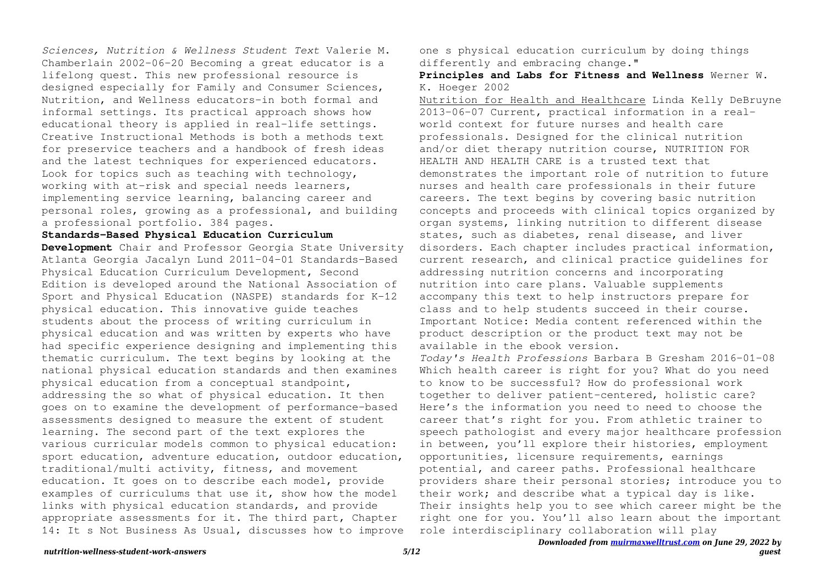*Sciences, Nutrition & Wellness Student Text* Valerie M. Chamberlain 2002-06-20 Becoming a great educator is a lifelong quest. This new professional resource is designed especially for Family and Consumer Sciences, Nutrition, and Wellness educators-in both formal and informal settings. Its practical approach shows how educational theory is applied in real-life settings. Creative Instructional Methods is both a methods text for preservice teachers and a handbook of fresh ideas and the latest techniques for experienced educators. Look for topics such as teaching with technology, working with at-risk and special needs learners, implementing service learning, balancing career and personal roles, growing as a professional, and building a professional portfolio. 384 pages.

**Standards-Based Physical Education Curriculum**

**Development** Chair and Professor Georgia State University Atlanta Georgia Jacalyn Lund 2011-04-01 Standards-Based Physical Education Curriculum Development, Second Edition is developed around the National Association of Sport and Physical Education (NASPE) standards for K-12 physical education. This innovative guide teaches students about the process of writing curriculum in physical education and was written by experts who have had specific experience designing and implementing this thematic curriculum. The text begins by looking at the national physical education standards and then examines physical education from a conceptual standpoint, addressing the so what of physical education. It then goes on to examine the development of performance-based assessments designed to measure the extent of student learning. The second part of the text explores the various curricular models common to physical education: sport education, adventure education, outdoor education, traditional/multi activity, fitness, and movement education. It goes on to describe each model, provide examples of curriculums that use it, show how the model links with physical education standards, and provide appropriate assessments for it. The third part, Chapter 14: It s Not Business As Usual, discusses how to improve

one s physical education curriculum by doing things differently and embracing change."

**Principles and Labs for Fitness and Wellness** Werner W. K. Hoeger 2002

Nutrition for Health and Healthcare Linda Kelly DeBruyne 2013-06-07 Current, practical information in a realworld context for future nurses and health care professionals. Designed for the clinical nutrition and/or diet therapy nutrition course, NUTRITION FOR HEALTH AND HEALTH CARE is a trusted text that demonstrates the important role of nutrition to future nurses and health care professionals in their future careers. The text begins by covering basic nutrition concepts and proceeds with clinical topics organized by organ systems, linking nutrition to different disease states, such as diabetes, renal disease, and liver disorders. Each chapter includes practical information, current research, and clinical practice guidelines for addressing nutrition concerns and incorporating nutrition into care plans. Valuable supplements accompany this text to help instructors prepare for class and to help students succeed in their course. Important Notice: Media content referenced within the product description or the product text may not be available in the ebook version.

*Today's Health Professions* Barbara B Gresham 2016-01-08 Which health career is right for you? What do you need to know to be successful? How do professional work together to deliver patient-centered, holistic care? Here's the information you need to need to choose the career that's right for you. From athletic trainer to speech pathologist and every major healthcare profession in between, you'll explore their histories, employment opportunities, licensure requirements, earnings potential, and career paths. Professional healthcare providers share their personal stories; introduce you to their work; and describe what a typical day is like. Their insights help you to see which career might be the right one for you. You'll also learn about the important role interdisciplinary collaboration will play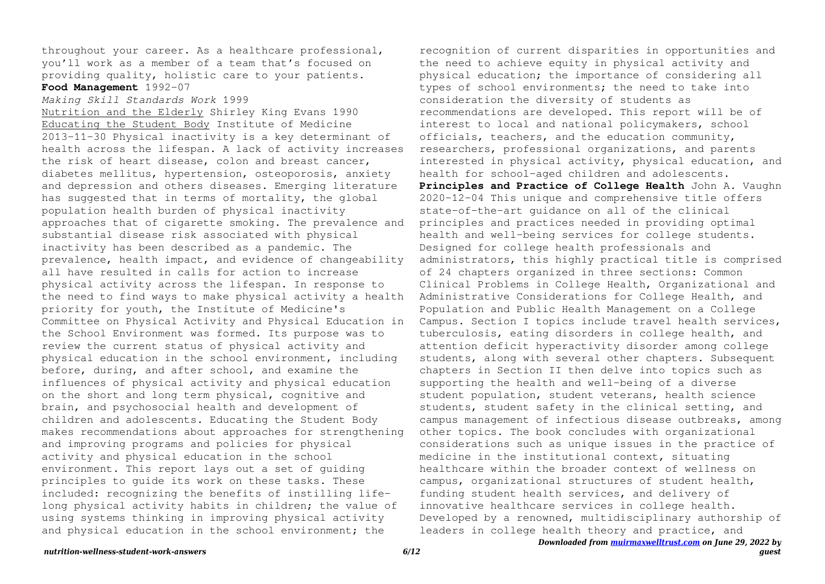throughout your career. As a healthcare professional, you'll work as a member of a team that's focused on providing quality, holistic care to your patients. **Food Management** 1992-07

*Making Skill Standards Work* 1999

Nutrition and the Elderly Shirley King Evans 1990 Educating the Student Body Institute of Medicine 2013-11-30 Physical inactivity is a key determinant of health across the lifespan. A lack of activity increases the risk of heart disease, colon and breast cancer, diabetes mellitus, hypertension, osteoporosis, anxiety and depression and others diseases. Emerging literature has suggested that in terms of mortality, the global population health burden of physical inactivity approaches that of cigarette smoking. The prevalence and substantial disease risk associated with physical inactivity has been described as a pandemic. The prevalence, health impact, and evidence of changeability all have resulted in calls for action to increase physical activity across the lifespan. In response to the need to find ways to make physical activity a health priority for youth, the Institute of Medicine's Committee on Physical Activity and Physical Education in the School Environment was formed. Its purpose was to review the current status of physical activity and physical education in the school environment, including before, during, and after school, and examine the influences of physical activity and physical education on the short and long term physical, cognitive and brain, and psychosocial health and development of children and adolescents. Educating the Student Body makes recommendations about approaches for strengthening and improving programs and policies for physical activity and physical education in the school environment. This report lays out a set of guiding principles to guide its work on these tasks. These included: recognizing the benefits of instilling lifelong physical activity habits in children; the value of using systems thinking in improving physical activity and physical education in the school environment; the

*Downloaded from [muirmaxwelltrust.com](https://muirmaxwelltrust.com) on June 29, 2022 by* recognition of current disparities in opportunities and the need to achieve equity in physical activity and physical education; the importance of considering all types of school environments; the need to take into consideration the diversity of students as recommendations are developed. This report will be of interest to local and national policymakers, school officials, teachers, and the education community, researchers, professional organizations, and parents interested in physical activity, physical education, and health for school-aged children and adolescents. **Principles and Practice of College Health** John A. Vaughn 2020-12-04 This unique and comprehensive title offers state-of-the-art guidance on all of the clinical principles and practices needed in providing optimal health and well-being services for college students. Designed for college health professionals and administrators, this highly practical title is comprised of 24 chapters organized in three sections: Common Clinical Problems in College Health, Organizational and Administrative Considerations for College Health, and Population and Public Health Management on a College Campus. Section I topics include travel health services, tuberculosis, eating disorders in college health, and attention deficit hyperactivity disorder among college students, along with several other chapters. Subsequent chapters in Section II then delve into topics such as supporting the health and well-being of a diverse student population, student veterans, health science students, student safety in the clinical setting, and campus management of infectious disease outbreaks, among other topics. The book concludes with organizational considerations such as unique issues in the practice of medicine in the institutional context, situating healthcare within the broader context of wellness on campus, organizational structures of student health, funding student health services, and delivery of innovative healthcare services in college health. Developed by a renowned, multidisciplinary authorship of leaders in college health theory and practice, and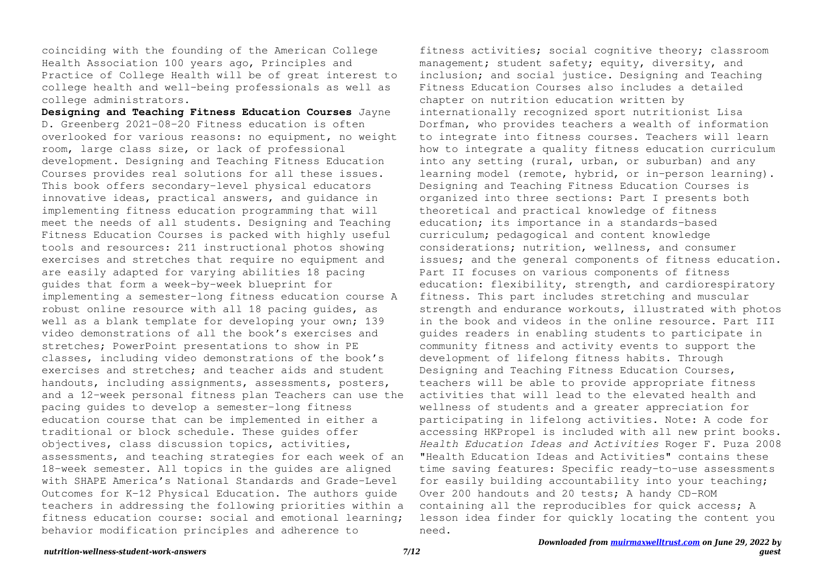coinciding with the founding of the American College Health Association 100 years ago, Principles and Practice of College Health will be of great interest to college health and well-being professionals as well as college administrators.

**Designing and Teaching Fitness Education Courses** Jayne D. Greenberg 2021-08-20 Fitness education is often overlooked for various reasons: no equipment, no weight room, large class size, or lack of professional development. Designing and Teaching Fitness Education Courses provides real solutions for all these issues. This book offers secondary-level physical educators innovative ideas, practical answers, and guidance in implementing fitness education programming that will meet the needs of all students. Designing and Teaching Fitness Education Courses is packed with highly useful tools and resources: 211 instructional photos showing exercises and stretches that require no equipment and are easily adapted for varying abilities 18 pacing guides that form a week-by-week blueprint for implementing a semester-long fitness education course A robust online resource with all 18 pacing guides, as well as a blank template for developing your own; 139 video demonstrations of all the book's exercises and stretches; PowerPoint presentations to show in PE classes, including video demonstrations of the book's exercises and stretches; and teacher aids and student handouts, including assignments, assessments, posters, and a 12-week personal fitness plan Teachers can use the pacing guides to develop a semester-long fitness education course that can be implemented in either a traditional or block schedule. These guides offer objectives, class discussion topics, activities, assessments, and teaching strategies for each week of an 18-week semester. All topics in the guides are aligned with SHAPE America's National Standards and Grade-Level Outcomes for K–12 Physical Education. The authors guide teachers in addressing the following priorities within a fitness education course: social and emotional learning; behavior modification principles and adherence to

fitness activities; social cognitive theory; classroom management; student safety; equity, diversity, and inclusion; and social justice. Designing and Teaching Fitness Education Courses also includes a detailed chapter on nutrition education written by internationally recognized sport nutritionist Lisa Dorfman, who provides teachers a wealth of information to integrate into fitness courses. Teachers will learn how to integrate a quality fitness education curriculum into any setting (rural, urban, or suburban) and any learning model (remote, hybrid, or in-person learning). Designing and Teaching Fitness Education Courses is organized into three sections: Part I presents both theoretical and practical knowledge of fitness education; its importance in a standards-based curriculum; pedagogical and content knowledge considerations; nutrition, wellness, and consumer issues; and the general components of fitness education. Part II focuses on various components of fitness education: flexibility, strength, and cardiorespiratory fitness. This part includes stretching and muscular strength and endurance workouts, illustrated with photos in the book and videos in the online resource. Part III guides readers in enabling students to participate in community fitness and activity events to support the development of lifelong fitness habits. Through Designing and Teaching Fitness Education Courses, teachers will be able to provide appropriate fitness activities that will lead to the elevated health and wellness of students and a greater appreciation for participating in lifelong activities. Note: A code for accessing HKPropel is included with all new print books. *Health Education Ideas and Activities* Roger F. Puza 2008 "Health Education Ideas and Activities" contains these time saving features: Specific ready-to-use assessments for easily building accountability into your teaching; Over 200 handouts and 20 tests; A handy CD-ROM containing all the reproducibles for quick access; A lesson idea finder for quickly locating the content you need.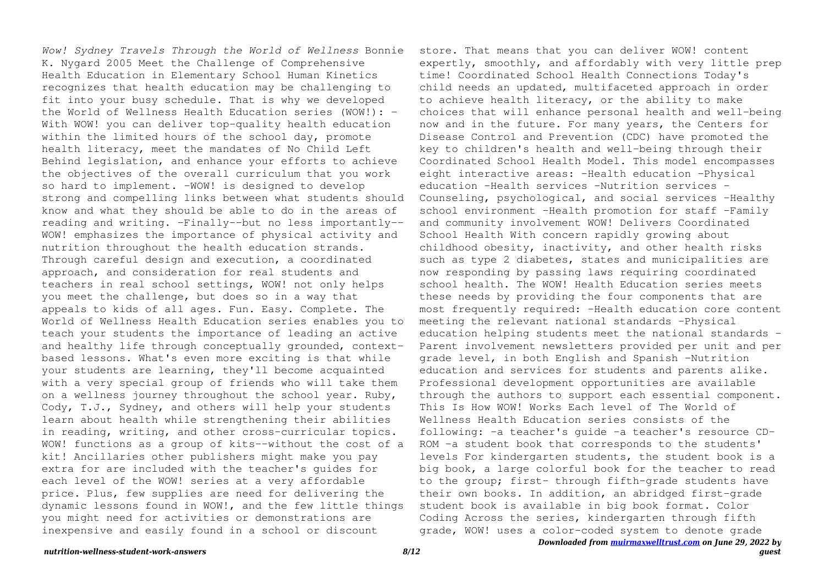*Wow! Sydney Travels Through the World of Wellness* Bonnie K. Nygard 2005 Meet the Challenge of Comprehensive Health Education in Elementary School Human Kinetics recognizes that health education may be challenging to fit into your busy schedule. That is why we developed the World of Wellness Health Education series (WOW!): - With WOW! you can deliver top-quality health education within the limited hours of the school day, promote health literacy, meet the mandates of No Child Left Behind legislation, and enhance your efforts to achieve the objectives of the overall curriculum that you work so hard to implement. -WOW! is designed to develop strong and compelling links between what students should know and what they should be able to do in the areas of reading and writing. -Finally--but no less importantly-- WOW! emphasizes the importance of physical activity and nutrition throughout the health education strands. Through careful design and execution, a coordinated approach, and consideration for real students and teachers in real school settings, WOW! not only helps you meet the challenge, but does so in a way that appeals to kids of all ages. Fun. Easy. Complete. The World of Wellness Health Education series enables you to teach your students the importance of leading an active and healthy life through conceptually grounded, contextbased lessons. What's even more exciting is that while your students are learning, they'll become acquainted with a very special group of friends who will take them on a wellness journey throughout the school year. Ruby, Cody, T.J., Sydney, and others will help your students learn about health while strengthening their abilities in reading, writing, and other cross-curricular topics. WOW! functions as a group of kits--without the cost of a kit! Ancillaries other publishers might make you pay extra for are included with the teacher's guides for each level of the WOW! series at a very affordable price. Plus, few supplies are need for delivering the dynamic lessons found in WOW!, and the few little things you might need for activities or demonstrations are inexpensive and easily found in a school or discount

*Downloaded from [muirmaxwelltrust.com](https://muirmaxwelltrust.com) on June 29, 2022 by* store. That means that you can deliver WOW! content expertly, smoothly, and affordably with very little prep time! Coordinated School Health Connections Today's child needs an updated, multifaceted approach in order to achieve health literacy, or the ability to make choices that will enhance personal health and well-being now and in the future. For many years, the Centers for Disease Control and Prevention (CDC) have promoted the key to children's health and well-being through their Coordinated School Health Model. This model encompasses eight interactive areas: -Health education -Physical education -Health services -Nutrition services - Counseling, psychological, and social services -Healthy school environment -Health promotion for staff -Family and community involvement WOW! Delivers Coordinated School Health With concern rapidly growing about childhood obesity, inactivity, and other health risks such as type 2 diabetes, states and municipalities are now responding by passing laws requiring coordinated school health. The WOW! Health Education series meets these needs by providing the four components that are most frequently required: -Health education core content meeting the relevant national standards -Physical education helping students meet the national standards - Parent involvement newsletters provided per unit and per grade level, in both English and Spanish -Nutrition education and services for students and parents alike. Professional development opportunities are available through the authors to support each essential component. This Is How WOW! Works Each level of The World of Wellness Health Education series consists of the following: -a teacher's guide -a teacher's resource CD-ROM -a student book that corresponds to the students' levels For kindergarten students, the student book is a big book, a large colorful book for the teacher to read to the group; first- through fifth-grade students have their own books. In addition, an abridged first-grade student book is available in big book format. Color Coding Across the series, kindergarten through fifth grade, WOW! uses a color-coded system to denote grade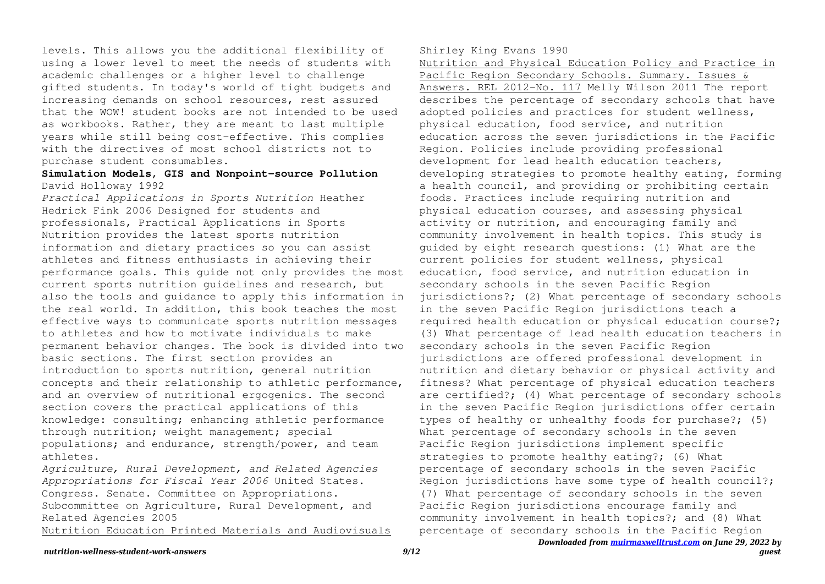levels. This allows you the additional flexibility of using a lower level to meet the needs of students with academic challenges or a higher level to challenge gifted students. In today's world of tight budgets and increasing demands on school resources, rest assured that the WOW! student books are not intended to be used as workbooks. Rather, they are meant to last multiple years while still being cost-effective. This complies with the directives of most school districts not to purchase student consumables.

## **Simulation Models, GIS and Nonpoint-source Pollution** David Holloway 1992

*Practical Applications in Sports Nutrition* Heather Hedrick Fink 2006 Designed for students and professionals, Practical Applications in Sports Nutrition provides the latest sports nutrition information and dietary practices so you can assist athletes and fitness enthusiasts in achieving their performance goals. This guide not only provides the most current sports nutrition guidelines and research, but also the tools and guidance to apply this information in the real world. In addition, this book teaches the most effective ways to communicate sports nutrition messages to athletes and how to motivate individuals to make permanent behavior changes. The book is divided into two basic sections. The first section provides an introduction to sports nutrition, general nutrition concepts and their relationship to athletic performance, and an overview of nutritional ergogenics. The second section covers the practical applications of this knowledge: consulting; enhancing athletic performance through nutrition; weight management; special populations; and endurance, strength/power, and team athletes.

*Agriculture, Rural Development, and Related Agencies Appropriations for Fiscal Year 2006* United States. Congress. Senate. Committee on Appropriations. Subcommittee on Agriculture, Rural Development, and Related Agencies 2005

Nutrition Education Printed Materials and Audiovisuals

Shirley King Evans 1990

*Downloaded from [muirmaxwelltrust.com](https://muirmaxwelltrust.com) on June 29, 2022 by* Nutrition and Physical Education Policy and Practice in Pacific Region Secondary Schools. Summary. Issues & Answers. REL 2012-No. 117 Melly Wilson 2011 The report describes the percentage of secondary schools that have adopted policies and practices for student wellness, physical education, food service, and nutrition education across the seven jurisdictions in the Pacific Region. Policies include providing professional development for lead health education teachers, developing strategies to promote healthy eating, forming a health council, and providing or prohibiting certain foods. Practices include requiring nutrition and physical education courses, and assessing physical activity or nutrition, and encouraging family and community involvement in health topics. This study is guided by eight research questions: (1) What are the current policies for student wellness, physical education, food service, and nutrition education in secondary schools in the seven Pacific Region jurisdictions?; (2) What percentage of secondary schools in the seven Pacific Region jurisdictions teach a required health education or physical education course?; (3) What percentage of lead health education teachers in secondary schools in the seven Pacific Region jurisdictions are offered professional development in nutrition and dietary behavior or physical activity and fitness? What percentage of physical education teachers are certified?; (4) What percentage of secondary schools in the seven Pacific Region jurisdictions offer certain types of healthy or unhealthy foods for purchase?; (5) What percentage of secondary schools in the seven Pacific Region jurisdictions implement specific strategies to promote healthy eating?; (6) What percentage of secondary schools in the seven Pacific Region jurisdictions have some type of health council?; (7) What percentage of secondary schools in the seven Pacific Region jurisdictions encourage family and community involvement in health topics?; and (8) What percentage of secondary schools in the Pacific Region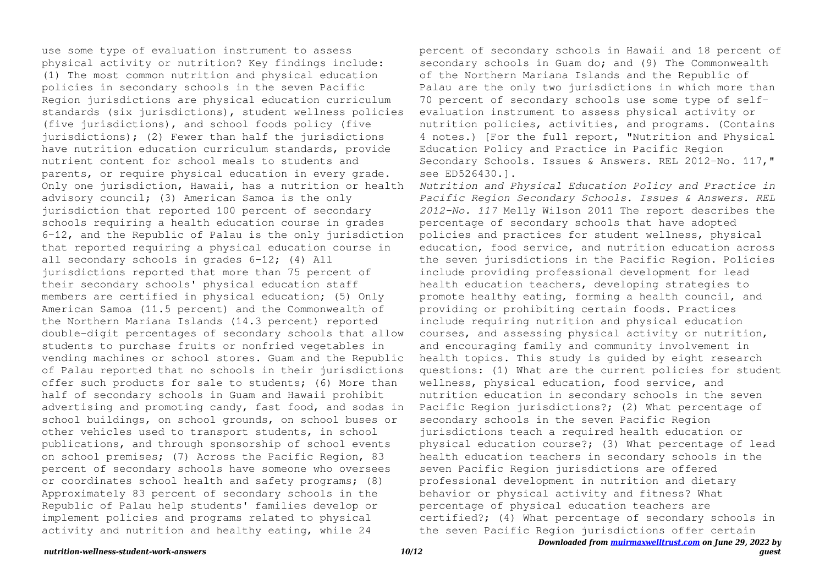use some type of evaluation instrument to assess physical activity or nutrition? Key findings include: (1) The most common nutrition and physical education policies in secondary schools in the seven Pacific Region jurisdictions are physical education curriculum standards (six jurisdictions), student wellness policies (five jurisdictions), and school foods policy (five jurisdictions); (2) Fewer than half the jurisdictions have nutrition education curriculum standards, provide nutrient content for school meals to students and parents, or require physical education in every grade. Only one jurisdiction, Hawaii, has a nutrition or health advisory council; (3) American Samoa is the only jurisdiction that reported 100 percent of secondary schools requiring a health education course in grades 6-12, and the Republic of Palau is the only jurisdiction that reported requiring a physical education course in all secondary schools in grades 6-12; (4) All jurisdictions reported that more than 75 percent of their secondary schools' physical education staff members are certified in physical education; (5) Only American Samoa (11.5 percent) and the Commonwealth of the Northern Mariana Islands (14.3 percent) reported double-digit percentages of secondary schools that allow students to purchase fruits or nonfried vegetables in vending machines or school stores. Guam and the Republic of Palau reported that no schools in their jurisdictions offer such products for sale to students; (6) More than half of secondary schools in Guam and Hawaii prohibit advertising and promoting candy, fast food, and sodas in school buildings, on school grounds, on school buses or other vehicles used to transport students, in school publications, and through sponsorship of school events on school premises; (7) Across the Pacific Region, 83 percent of secondary schools have someone who oversees or coordinates school health and safety programs; (8) Approximately 83 percent of secondary schools in the Republic of Palau help students' families develop or implement policies and programs related to physical activity and nutrition and healthy eating, while 24

percent of secondary schools in Hawaii and 18 percent of secondary schools in Guam do; and (9) The Commonwealth of the Northern Mariana Islands and the Republic of Palau are the only two jurisdictions in which more than 70 percent of secondary schools use some type of selfevaluation instrument to assess physical activity or nutrition policies, activities, and programs. (Contains 4 notes.) [For the full report, "Nutrition and Physical Education Policy and Practice in Pacific Region Secondary Schools. Issues & Answers. REL 2012-No. 117," see ED526430.].

*Nutrition and Physical Education Policy and Practice in Pacific Region Secondary Schools. Issues & Answers. REL 2012-No. 117* Melly Wilson 2011 The report describes the percentage of secondary schools that have adopted policies and practices for student wellness, physical education, food service, and nutrition education across the seven jurisdictions in the Pacific Region. Policies include providing professional development for lead health education teachers, developing strategies to promote healthy eating, forming a health council, and providing or prohibiting certain foods. Practices include requiring nutrition and physical education courses, and assessing physical activity or nutrition, and encouraging family and community involvement in health topics. This study is guided by eight research questions: (1) What are the current policies for student wellness, physical education, food service, and nutrition education in secondary schools in the seven Pacific Region jurisdictions?; (2) What percentage of secondary schools in the seven Pacific Region jurisdictions teach a required health education or physical education course?; (3) What percentage of lead health education teachers in secondary schools in the seven Pacific Region jurisdictions are offered professional development in nutrition and dietary behavior or physical activity and fitness? What percentage of physical education teachers are certified?; (4) What percentage of secondary schools in the seven Pacific Region jurisdictions offer certain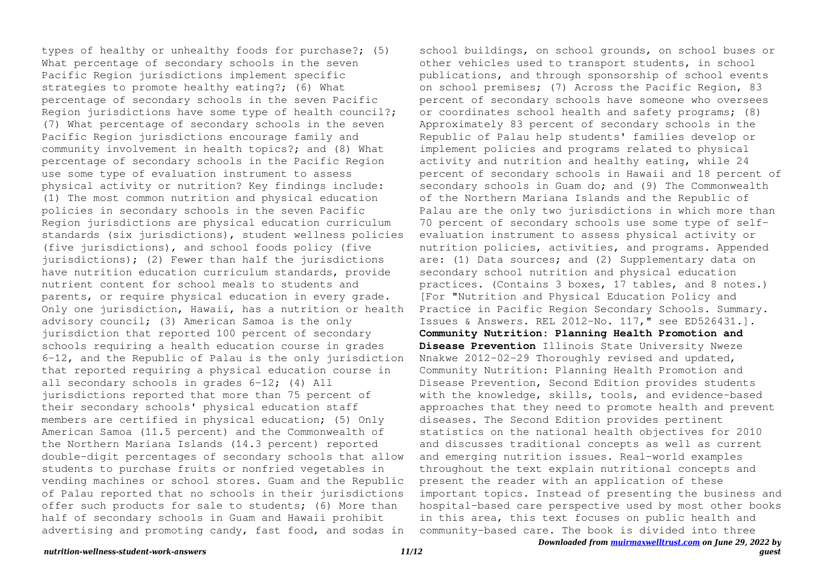types of healthy or unhealthy foods for purchase?; (5) What percentage of secondary schools in the seven Pacific Region jurisdictions implement specific strategies to promote healthy eating?; (6) What percentage of secondary schools in the seven Pacific Region jurisdictions have some type of health council?; (7) What percentage of secondary schools in the seven Pacific Region jurisdictions encourage family and community involvement in health topics?; and (8) What percentage of secondary schools in the Pacific Region use some type of evaluation instrument to assess physical activity or nutrition? Key findings include: (1) The most common nutrition and physical education policies in secondary schools in the seven Pacific Region jurisdictions are physical education curriculum standards (six jurisdictions), student wellness policies (five jurisdictions), and school foods policy (five jurisdictions); (2) Fewer than half the jurisdictions have nutrition education curriculum standards, provide nutrient content for school meals to students and parents, or require physical education in every grade. Only one jurisdiction, Hawaii, has a nutrition or health advisory council; (3) American Samoa is the only jurisdiction that reported 100 percent of secondary schools requiring a health education course in grades 6-12, and the Republic of Palau is the only jurisdiction that reported requiring a physical education course in all secondary schools in grades 6-12; (4) All jurisdictions reported that more than 75 percent of their secondary schools' physical education staff members are certified in physical education; (5) Only American Samoa (11.5 percent) and the Commonwealth of the Northern Mariana Islands (14.3 percent) reported double-digit percentages of secondary schools that allow students to purchase fruits or nonfried vegetables in vending machines or school stores. Guam and the Republic of Palau reported that no schools in their jurisdictions offer such products for sale to students; (6) More than half of secondary schools in Guam and Hawaii prohibit advertising and promoting candy, fast food, and sodas in

*Downloaded from [muirmaxwelltrust.com](https://muirmaxwelltrust.com) on June 29, 2022 by* school buildings, on school grounds, on school buses or other vehicles used to transport students, in school publications, and through sponsorship of school events on school premises; (7) Across the Pacific Region, 83 percent of secondary schools have someone who oversees or coordinates school health and safety programs; (8) Approximately 83 percent of secondary schools in the Republic of Palau help students' families develop or implement policies and programs related to physical activity and nutrition and healthy eating, while 24 percent of secondary schools in Hawaii and 18 percent of secondary schools in Guam do; and (9) The Commonwealth of the Northern Mariana Islands and the Republic of Palau are the only two jurisdictions in which more than 70 percent of secondary schools use some type of selfevaluation instrument to assess physical activity or nutrition policies, activities, and programs. Appended are: (1) Data sources; and (2) Supplementary data on secondary school nutrition and physical education practices. (Contains 3 boxes, 17 tables, and 8 notes.) [For "Nutrition and Physical Education Policy and Practice in Pacific Region Secondary Schools. Summary. Issues & Answers. REL 2012-No. 117," see ED526431.]. **Community Nutrition: Planning Health Promotion and Disease Prevention** Illinois State University Nweze Nnakwe 2012-02-29 Thoroughly revised and updated, Community Nutrition: Planning Health Promotion and Disease Prevention, Second Edition provides students with the knowledge, skills, tools, and evidence-based approaches that they need to promote health and prevent diseases. The Second Edition provides pertinent statistics on the national health objectives for 2010 and discusses traditional concepts as well as current and emerging nutrition issues. Real-world examples throughout the text explain nutritional concepts and present the reader with an application of these important topics. Instead of presenting the business and hospital-based care perspective used by most other books in this area, this text focuses on public health and community-based care. The book is divided into three